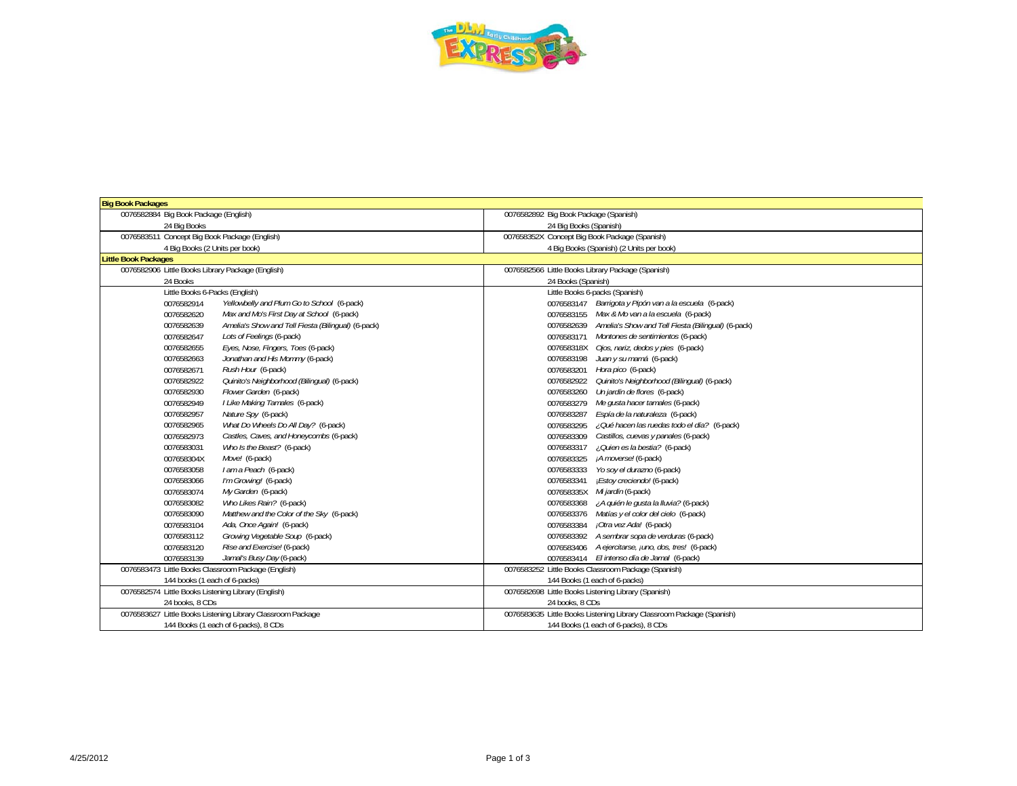

| <b>Big Book Packages</b>                                         |                                                                       |
|------------------------------------------------------------------|-----------------------------------------------------------------------|
| 0076582884 Big Book Package (English)                            | 0076582892 Big Book Package (Spanish)                                 |
| 24 Bia Books                                                     | 24 Big Books (Spanish)                                                |
| 0076583511 Concept Big Book Package (English)                    | 007658352X Concept Big Book Package (Spanish)                         |
| 4 Big Books (2 Units per book)                                   | 4 Big Books (Spanish) (2 Units per book)                              |
| <b>Little Book Packages</b>                                      |                                                                       |
| 0076582906 Little Books Library Package (English)                | 0076582566 Little Books Library Package (Spanish)                     |
| 24 Books                                                         | 24 Books (Spanish)                                                    |
| Little Books 6-Packs (English)                                   | Little Books 6-packs (Spanish)                                        |
| Yellowbelly and Plum Go to School (6-pack)<br>0076582914         | 0076583147 Barrigota y Pipón van a la escuela (6-pack)                |
| Max and Mo's First Day at School (6-pack)<br>0076582620          | 0076583155 Max & Mo van a la escuela (6-pack)                         |
| Amelia's Show and Tell Fiesta (Bilingual) (6-pack)<br>0076582639 | 0076582639 Amelia's Show and Tell Fiesta (Bilingual) (6-pack)         |
| Lots of Feelings (6-pack)<br>0076582647                          | 0076583171 Montones de sentimientos (6-pack)                          |
| Eyes, Nose, Fingers, Toes (6-pack)<br>0076582655                 | 007658318X Ojos, nariz, dedos y pies (6-pack)                         |
| Jonathan and His Mommy (6-pack)<br>0076582663                    | Juan y su mamá (6-pack)<br>0076583198                                 |
| Rush Hour (6-pack)<br>0076582671                                 | Hora pico (6-pack)<br>0076583201                                      |
| Quinito's Neighborhood (Bilingual) (6-pack)<br>0076582922        | 0076582922 Quinito's Neighborhood (Bilingual) (6-pack)                |
| 0076582930<br>Flower Garden (6-pack)                             | 0076583260 Un jardín de flores (6-pack)                               |
| 0076582949<br>I Like Making Tamales (6-pack)                     | 0076583279 Me gusta hacer tamales (6-pack)                            |
| Nature Spy (6-pack)<br>0076582957                                | Espía de la naturaleza (6-pack)<br>0076583287                         |
| What Do Wheels Do All Day? (6-pack)<br>0076582965                | 0076583295 / Qué hacen las ruedas todo el día? (6-pack)               |
| 0076582973<br>Castles, Caves, and Honeycombs (6-pack)            | 0076583309<br>Castillos, cuevas y panales (6-pack)                    |
| 0076583031<br>Who Is the Beast? (6-pack)                         | ¿Quien es la bestia? (6-pack)<br>0076583317                           |
| 007658304X<br>Move! (6-pack)                                     | ¡A moverse! (6-pack)<br>0076583325                                    |
| 0076583058<br>I am a Peach (6-pack)                              | Yo soy el durazno (6-pack)<br>0076583333                              |
| I'm Growing! (6-pack)<br>0076583066                              | 0076583341<br><i><b>Estoy creciendo! (6-pack)</b></i>                 |
| 0076583074<br>My Garden (6-pack)                                 | 007658335X Mi jardín (6-pack)                                         |
| 0076583082<br>Who Likes Rain? (6-pack)                           | 0076583368 / A quién le gusta la lluvia? (6-pack)                     |
| 0076583090<br>Matthew and the Color of the Sky (6-pack)          | 0076583376 Matías y el color del cielo (6-pack)                       |
| 0076583104<br>Ada, Once Again! (6-pack)                          | 0076583384 <i>¡Otra vez Ada!</i> (6-pack)                             |
| 0076583112<br>Growing Vegetable Soup (6-pack)                    | 0076583392 A sembrar sopa de verduras (6-pack)                        |
| 0076583120<br>Rise and Exercise! (6-pack)                        | 0076583406 A ejercitarse, juno, dos, tres! (6-pack)                   |
| 0076583139<br>Jamal's Busy Day (6-pack)                          | 0076583414 El intenso día de Jamal (6-pack)                           |
| 0076583473 Little Books Classroom Package (English)              | 0076583252 Little Books Classroom Package (Spanish)                   |
| 144 books (1 each of 6-packs)                                    | 144 Books (1 each of 6-packs)                                         |
| 0076582574 Little Books Listening Library (English)              | 0076582698 Little Books Listening Library (Spanish)                   |
| 24 books, 8 CDs                                                  | 24 books, 8 CDs                                                       |
| 0076583627 Little Books Listening Library Classroom Package      | 0076583635 Little Books Listening Library Classroom Package (Spanish) |
| 144 Books (1 each of 6-packs), 8 CDs                             | 144 Books (1 each of 6-packs), 8 CDs                                  |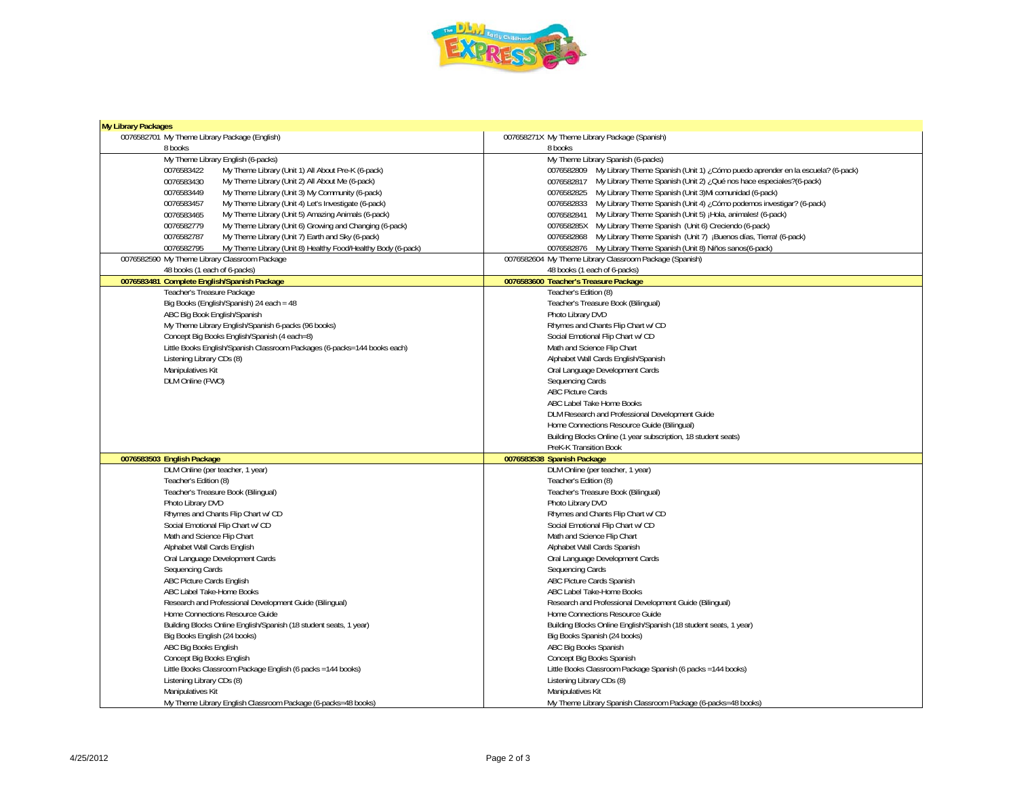

| <b>My Library Packages</b>                                                 |                                                                                           |
|----------------------------------------------------------------------------|-------------------------------------------------------------------------------------------|
| 0076582701 My Theme Library Package (English)                              | 007658271X My Theme Library Package (Spanish)                                             |
| 8 books                                                                    | 8 books                                                                                   |
| My Theme Library English (6-packs)                                         | My Theme Library Spanish (6-packs)                                                        |
| 0076583422<br>My Theme Library (Unit 1) All About Pre-K (6-pack)           | 0076582809 My Library Theme Spanish (Unit 1) ¿Cómo puedo aprender en la escuela? (6-pack) |
| 0076583430<br>My Theme Library (Unit 2) All About Me (6-pack)              | O076582817 My Library Theme Spanish (Unit 2) ¿Qué nos hace especiales?(6-pack)            |
| 0076583449<br>My Theme Library (Unit 3) My Community (6-pack)              | 0076582825 My Library Theme Spanish (Unit 3) Mi comunidad (6-pack)                        |
| 0076583457<br>My Theme Library (Unit 4) Let's Investigate (6-pack)         | 0076582833 My Library Theme Spanish (Unit 4) ¿Cómo podemos investigar? (6-pack)           |
| 0076583465<br>My Theme Library (Unit 5) Amazing Animals (6-pack)           | 0076582841 My Library Theme Spanish (Unit 5) ¡Hola, animales! (6-pack)                    |
| 0076582779<br>My Theme Library (Unit 6) Growing and Changing (6-pack)      | 007658285X My Library Theme Spanish (Unit 6) Creciendo (6-pack)                           |
| 0076582787<br>My Theme Library (Unit 7) Earth and Sky (6-pack)             | 0076582868 My Library Theme Spanish (Unit 7) ¡Buenos días, Tierra! (6-pack)               |
| 0076582795<br>My Theme Library (Unit 8) Healthy Food/Healthy Body (6-pack) | 0076582876 My Library Theme Spanish (Unit 8) Niños sanos(6-pack)                          |
| 0076582590 My Theme Library Classroom Package                              | 0076582604 My Theme Library Classroom Package (Spanish)                                   |
| 48 books (1 each of 6-packs)                                               | 48 books (1 each of 6-packs)                                                              |
| 0076583481 Complete English/Spanish Package                                | 0076583600 Teacher's Treasure Package                                                     |
| Teacher's Treasure Package                                                 | Teacher's Edition (8)                                                                     |
| Big Books (English/Spanish) 24 each = 48                                   | Teacher's Treasure Book (Bilingual)                                                       |
| ABC Big Book English/Spanish                                               | Photo Library DVD                                                                         |
| My Theme Library English/Spanish 6-packs (96 books)                        | Rhymes and Chants Flip Chart w/ CD                                                        |
| Concept Big Books English/Spanish (4 each=8)                               | Social Emotional Flip Chart w/ CD                                                         |
| Little Books English/Spanish Classroom Packages (6-packs=144 books each)   | Math and Science Flip Chart                                                               |
| Listening Library CDs (8)                                                  | Alphabet Wall Cards English/Spanish                                                       |
| Manipulatives Kit                                                          | Oral Language Development Cards                                                           |
| DLM Online (FWO)                                                           | Sequencing Cards                                                                          |
|                                                                            | <b>ABC Picture Cards</b>                                                                  |
|                                                                            | ABC Label Take Home Books                                                                 |
|                                                                            | DLM Research and Professional Development Guide                                           |
|                                                                            | Home Connections Resource Guide (Bilingual)                                               |
|                                                                            | Building Blocks Online (1 year subscription, 18 student seats)                            |
|                                                                            | PreK-K Transition Book                                                                    |
| 0076583503 English Package                                                 | 0076583538 Spanish Package                                                                |
| DLM Online (per teacher, 1 year)                                           | DLM Online (per teacher, 1 year)                                                          |
| Teacher's Edition (8)                                                      | Teacher's Edition (8)                                                                     |
| Teacher's Treasure Book (Bilingual)                                        | Teacher's Treasure Book (Bilingual)                                                       |
| Photo Library DVD                                                          | Photo Library DVD                                                                         |
| Rhymes and Chants Flip Chart w/ CD                                         | Rhymes and Chants Flip Chart w/ CD                                                        |
| Social Emotional Flip Chart w/ CD                                          | Social Emotional Flip Chart w/ CD                                                         |
| Math and Science Flip Chart                                                | Math and Science Flip Chart                                                               |
| Alphabet Wall Cards English                                                | Alphabet Wall Cards Spanish                                                               |
| Oral Language Development Cards                                            | Oral Language Development Cards                                                           |
| Sequencing Cards                                                           | Sequencing Cards                                                                          |
| ABC Picture Cards English                                                  | ABC Picture Cards Spanish                                                                 |
| ABC Label Take-Home Books                                                  | ABC Label Take-Home Books                                                                 |
| Research and Professional Development Guide (Bilingual)                    | Research and Professional Development Guide (Bilingual)                                   |
| Home Connections Resource Guide                                            | Home Connections Resource Guide                                                           |
| Building Blocks Online English/Spanish (18 student seats, 1 year)          | Building Blocks Online English/Spanish (18 student seats, 1 year)                         |
| Big Books English (24 books)                                               | Big Books Spanish (24 books)                                                              |
| ABC Big Books English                                                      | ABC Big Books Spanish                                                                     |
| Concept Big Books English                                                  | Concept Big Books Spanish                                                                 |
| Little Books Classroom Package English (6 packs = 144 books)               | Little Books Classroom Package Spanish (6 packs = 144 books)                              |
| Listening Library CDs (8)                                                  | Listening Library CDs (8)                                                                 |
| Manipulatives Kit                                                          | Manipulatives Kit                                                                         |
| My Theme Library English Classroom Package (6-packs=48 books)              | My Theme Library Spanish Classroom Package (6-packs=48 books)                             |